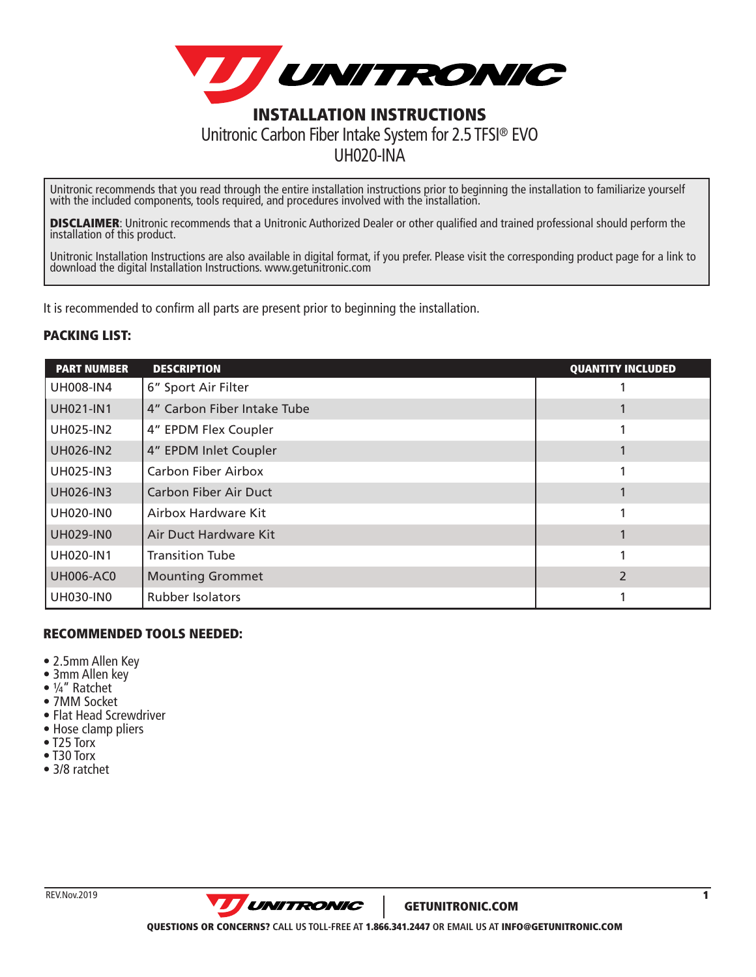

Unitronic recommends that you read through the entire installation instructions prior to beginning the installation to familiarize yourself with the included components, tools required, and procedures involved with the installation.

**DISCLAIMER:** Unitronic recommends that a Unitronic Authorized Dealer or other qualified and trained professional should perform the installation of this product.

Unitronic Installation Instructions are also available in digital format, if you prefer. Please visit the corresponding product page for a link to download the digital Installation Instructions. www.getunitronic.com

It is recommended to confirm all parts are present prior to beginning the installation.

#### PACKING LIST:

| <b>PART NUMBER</b> | <b>DESCRIPTION</b>           | <b>QUANTITY INCLUDED</b> |
|--------------------|------------------------------|--------------------------|
| <b>UH008-IN4</b>   | 6" Sport Air Filter          |                          |
| <b>UH021-IN1</b>   | 4" Carbon Fiber Intake Tube  |                          |
| <b>UH025-IN2</b>   | 4" EPDM Flex Coupler         |                          |
| <b>UH026-IN2</b>   | 4" EPDM Inlet Coupler        |                          |
| <b>UH025-IN3</b>   | <b>Carbon Fiber Airbox</b>   |                          |
| <b>UH026-IN3</b>   | <b>Carbon Fiber Air Duct</b> |                          |
| <b>UH020-IN0</b>   | Airbox Hardware Kit          |                          |
| <b>UH029-IN0</b>   | Air Duct Hardware Kit        |                          |
| <b>UH020-IN1</b>   | <b>Transition Tube</b>       |                          |
| <b>UH006-AC0</b>   | <b>Mounting Grommet</b>      |                          |
| <b>UH030-IN0</b>   | Rubber Isolators             |                          |

#### RECOMMENDED TOOLS NEEDED:

- 2.5mm Allen Key
- 3mm Allen key
- ¼" Ratchet
- 7MM Socket
- Flat Head Screwdriver
- Hose clamp pliers
- T25 Torx
- T30 Torx
- 3/8 ratchet

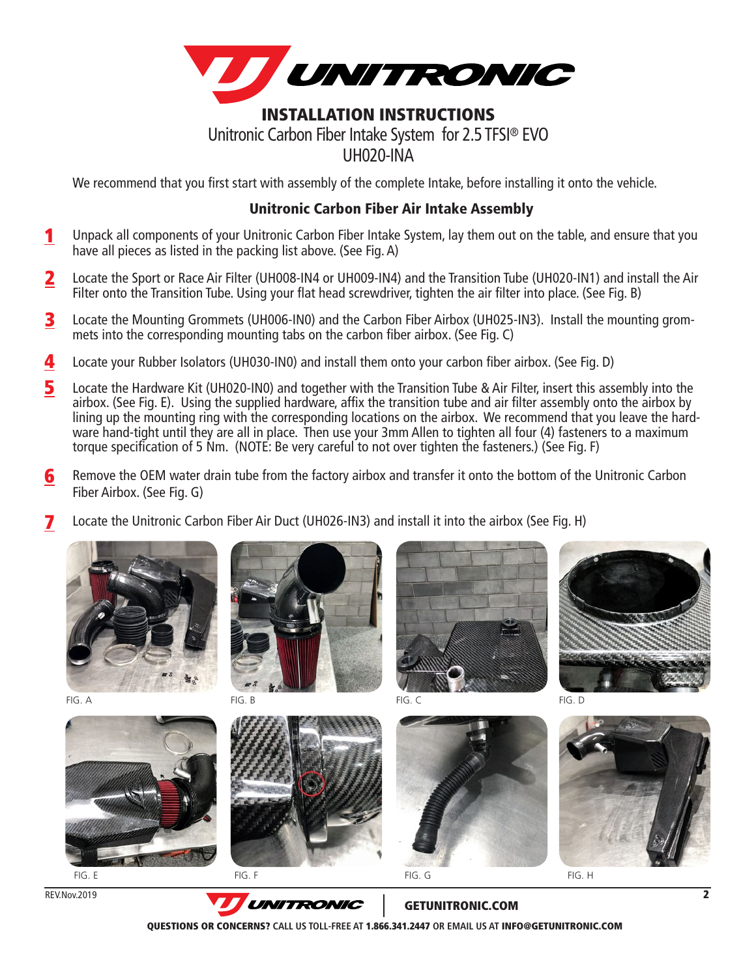

We recommend that you first start with assembly of the complete Intake, before installing it onto the vehicle.

#### Unitronic Carbon Fiber Air Intake Assembly

- Unpack all components of your Unitronic Carbon Fiber Intake System, lay them out on the table, and ensure that you have all pieces as listed in the packing list above. (See Fig. A) 1
- Locate the Sport or Race Air Filter (UH008-IN4 or UH009-IN4) and the Transition Tube (UH020-IN1) and install the Air Filter onto the Transition Tube. Using your flat head screwdriver, tighten the air filter into place. (See Fig. B) 2
- Locate the Mounting Grommets (UH006-IN0) and the Carbon Fiber Airbox (UH025-IN3). Install the mounting grommets into the corresponding mounting tabs on the carbon fiber airbox. (See Fig. C) 3
- Locate your Rubber Isolators (UH030-IN0) and install them onto your carbon fiber airbox. (See Fig. D) 4
- Locate the Hardware Kit (UH020-IN0) and together with the Transition Tube & Air Filter, insert this assembly into the airbox. (See Fig. E). Using the supplied hardware, affix the transition tube and air filter assembly onto the airbox by lining up the mounting ring with the corresponding locations on the airbox. We recommend that you leave the hardware hand-tight until they are all in place. Then use your 3mm Allen to tighten all four (4) fasteners to a maximum torque specification of 5 Nm. (NOTE: Be very careful to not over tighten the fasteners.) (See Fig. F) 5
- Remove the OEM water drain tube from the factory airbox and transfer it onto the bottom of the Unitronic Carbon Fiber Airbox. (See Fig. G) 6
- Locate the Unitronic Carbon Fiber Air Duct (UH026-IN3) and install it into the airbox (See Fig. H) 7





FIG. A FIG. B FIG. B FIG. C FIG. C FIG. D













REV.Nov.2019



GETUNITRONIC.COM

QUESTIONS OR CONCERNS? **CALL US TOLL-FREE AT** 1.866.341.2447 **OR EMAIL US AT** INFO@GETUNITRONIC.COM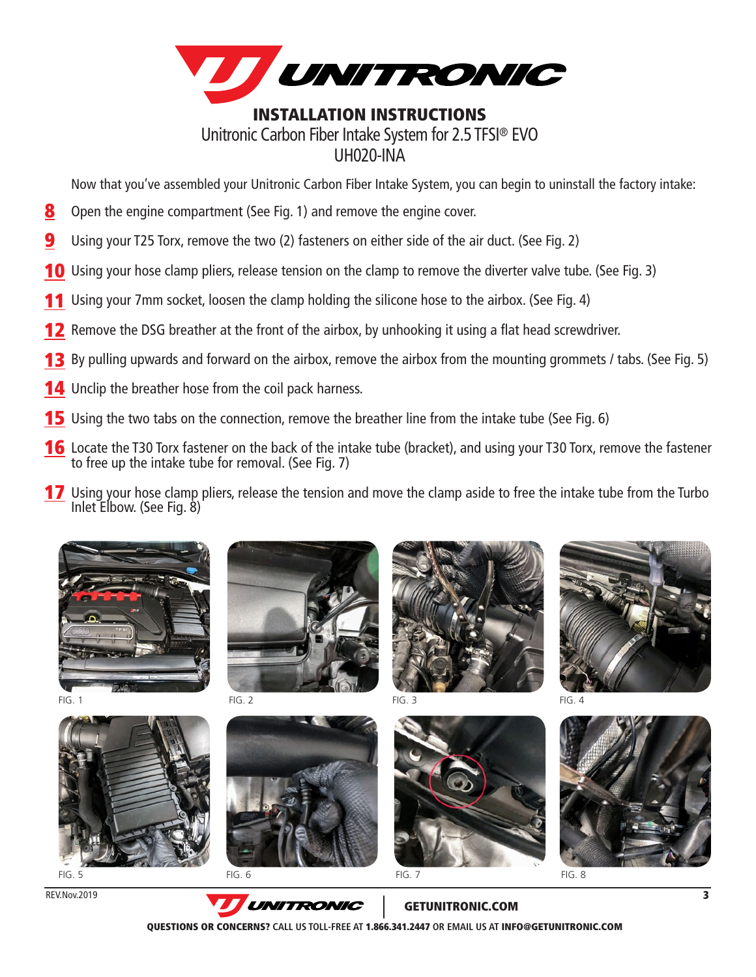

Now that you've assembled your Unitronic Carbon Fiber Intake System, you can begin to uninstall the factory intake:

- Open the engine compartment (See Fig. 1) and remove the engine cover. 8
- Using your T25 Torx, remove the two (2) fasteners on either side of the air duct. (See Fig. 2) 9
- **10** Using your hose clamp pliers, release tension on the clamp to remove the diverter valve tube. (See Fig. 3)
- Using your 7mm socket, loosen the clamp holding the silicone hose to the airbox. (See Fig. 4) 11
- Remove the DSG breather at the front of the airbox, by unhooking it using a flat head screwdriver. 12
- 13 By pulling upwards and forward on the airbox, remove the airbox from the mounting grommets / tabs. (See Fig. 5)
- **14** Unclip the breather hose from the coil pack harness.
- **15** Using the two tabs on the connection, remove the breather line from the intake tube (See Fig. 6)
- **16** Locate the T30 Torx fastener on the back of the intake tube (bracket), and using your T30 Torx, remove the fastener to free up the intake tube for removal. (See Fig. 7)
- **17** Using your hose clamp pliers, release the tension and move the clamp aside to free the intake tube from the Turbo Inlet Elbow. (See Fig. 8)











FIG. 4



REV.Nov.2019



GETUNITRONIC.COM

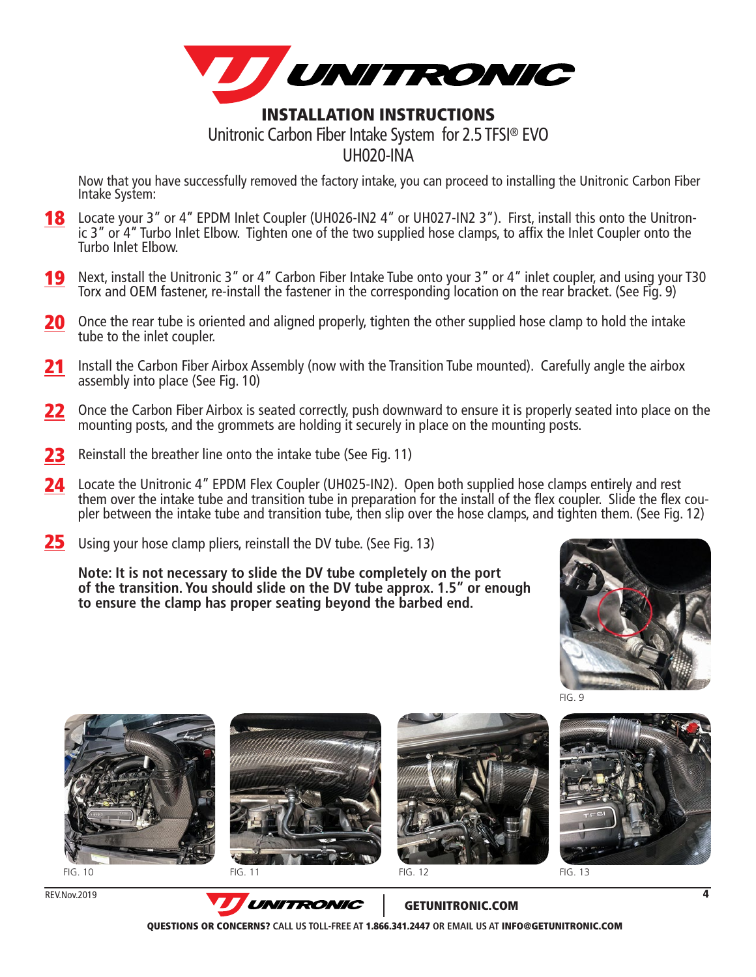

Now that you have successfully removed the factory intake, you can proceed to installing the Unitronic Carbon Fiber Intake System:

- **18** Locate your 3" or 4" EPDM Inlet Coupler (UH026-IN2 4" or UH027-IN2 3"). First, install this onto the Unitronic 3" or 4" Turbo Inlet Elbow. Tighten one of the two supplied hose clamps, to affix the Inlet Coupler onto the Turbo Inlet Elbow.
- **19** Next, install the Unitronic 3" or 4" Carbon Fiber Intake Tube onto your 3" or 4" inlet coupler, and using your T30 Torx and OEM fastener, re-install the fastener in the corresponding location on the rear bracket. (See Fig. 9)
- 20 Once the rear tube is oriented and aligned properly, tighten the other supplied hose clamp to hold the intake tube to the inlet coupler.
- **21** Install the Carbon Fiber Airbox Assembly (now with the Transition Tube mounted). Carefully angle the airbox assembly into place (See Fig. 10)
- 22 Once the Carbon Fiber Airbox is seated correctly, push downward to ensure it is properly seated into place on the mounting posts, and the grommets are holding it securely in place on the mounting posts.
- 23 Reinstall the breather line onto the intake tube (See Fig. 11)
- **24** Locate the Unitronic 4" EPDM Flex Coupler (UH025-IN2). Open both supplied hose clamps entirely and rest them over the intake tube and transition tube in preparation for the install of the flex coupler. Slide the flex cou-<br>pler between the intake tube and transition tube, then slip over the hose clamps, and tighten them. (See
- 25 Using your hose clamp pliers, reinstall the DV tube. (See Fig. 13)

**Note: It is not necessary to slide the DV tube completely on the port of the transition. You should slide on the DV tube approx. 1.5" or enough to ensure the clamp has proper seating beyond the barbed end.**





FIG. 10 **FIG. 11** FIG. 11 **FIG. 10 FIG. 12** 





FIG. 9



FIG. 11 FIG. 12 **FIG. 12** FIG. 13

REV.Nov.2019



GETUNITRONIC.COM

QUESTIONS OR CONCERNS? **CALL US TOLL-FREE AT** 1.866.341.2447 **OR EMAIL US AT** INFO@GETUNITRONIC.COM